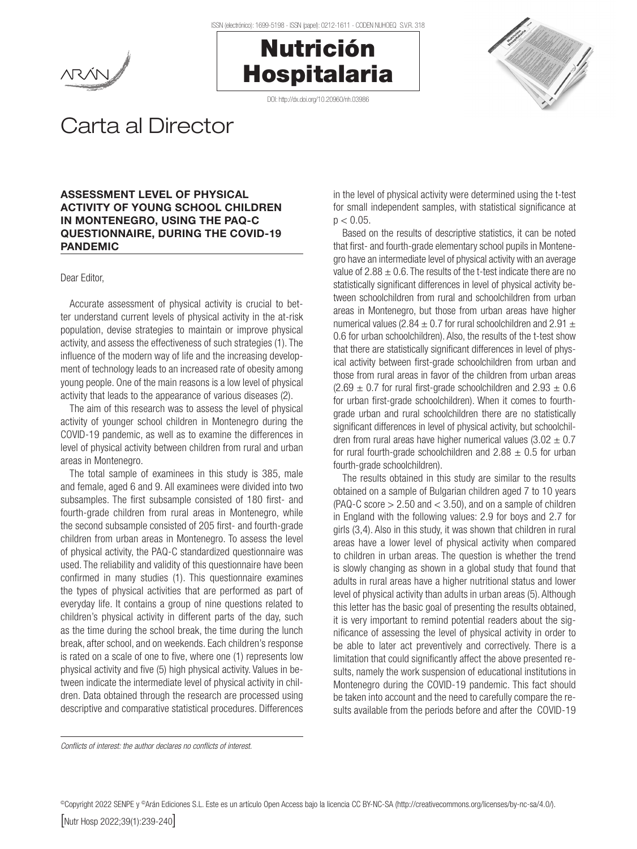





# Carta al Director

## ASSESSMENT LEVEL OF PHYSICAL ACTIVITY OF YOUNG SCHOOL CHILDREN IN MONTENEGRO, USING THE PAQ-C QUESTIONNAIRE, DURING THE COVID-19 PANDEMIC

#### Dear Editor,

Accurate assessment of physical activity is crucial to better understand current levels of physical activity in the at-risk population, devise strategies to maintain or improve physical activity, and assess the effectiveness of such strategies (1). The influence of the modern way of life and the increasing development of technology leads to an increased rate of obesity among young people. One of the main reasons is a low level of physical activity that leads to the appearance of various diseases (2).

The aim of this research was to assess the level of physical activity of younger school children in Montenegro during the COVID-19 pandemic, as well as to examine the differences in level of physical activity between children from rural and urban areas in Montenegro.

The total sample of examinees in this study is 385, male and female, aged 6 and 9. All examinees were divided into two subsamples. The first subsample consisted of 180 first- and fourth-grade children from rural areas in Montenegro, while the second subsample consisted of 205 first- and fourth-grade children from urban areas in Montenegro. To assess the level of physical activity, the PAQ-C standardized questionnaire was used. The reliability and validity of this questionnaire have been confirmed in many studies (1). This questionnaire examines the types of physical activities that are performed as part of everyday life. It contains a group of nine questions related to children's physical activity in different parts of the day, such as the time during the school break, the time during the lunch break, after school, and on weekends. Each children's response is rated on a scale of one to five, where one (1) represents low physical activity and five (5) high physical activity. Values in between indicate the intermediate level of physical activity in children. Data obtained through the research are processed using descriptive and comparative statistical procedures. Differences

in the level of physical activity were determined using the t-test for small independent samples, with statistical significance at  $p < 0.05$ .

Based on the results of descriptive statistics, it can be noted that first- and fourth-grade elementary school pupils in Montenegro have an intermediate level of physical activity with an average value of  $2.88 \pm 0.6$ . The results of the t-test indicate there are no statistically significant differences in level of physical activity between schoolchildren from rural and schoolchildren from urban areas in Montenegro, but those from urban areas have higher numerical values (2.84  $\pm$  0.7 for rural schoolchildren and 2.91  $\pm$ 0.6 for urban schoolchildren). Also, the results of the t-test show that there are statistically significant differences in level of physical activity between first-grade schoolchildren from urban and those from rural areas in favor of the children from urban areas  $(2.69 \pm 0.7)$  for rural first-grade schoolchildren and  $2.93 \pm 0.6$ for urban first-grade schoolchildren). When it comes to fourthgrade urban and rural schoolchildren there are no statistically significant differences in level of physical activity, but schoolchildren from rural areas have higher numerical values  $(3.02 \pm 0.7)$ for rural fourth-grade schoolchildren and  $2.88 \pm 0.5$  for urban fourth-grade schoolchildren).

The results obtained in this study are similar to the results obtained on a sample of Bulgarian children aged 7 to 10 years  $(PAQ-C score > 2.50$  and  $< 3.50$ ), and on a sample of children in England with the following values: 2.9 for boys and 2.7 for girls (3,4). Also in this study, it was shown that children in rural areas have a lower level of physical activity when compared to children in urban areas. The question is whether the trend is slowly changing as shown in a global study that found that adults in rural areas have a higher nutritional status and lower level of physical activity than adults in urban areas (5). Although this letter has the basic goal of presenting the results obtained, it is very important to remind potential readers about the significance of assessing the level of physical activity in order to be able to later act preventively and correctively. There is a limitation that could significantly affect the above presented results, namely the work suspension of educational institutions in Montenegro during the COVID-19 pandemic. This fact should be taken into account and the need to carefully compare the results available from the periods before and after the COVID-19

*Conflicts of interest: the author declares no conflicts of interest.*